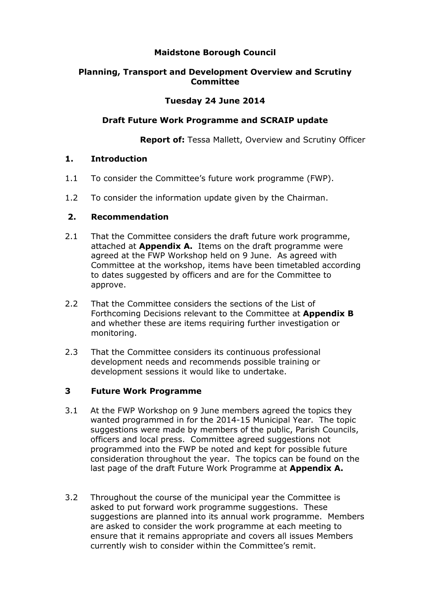# **Maidstone Borough Council**

## **Planning, Transport and Development Overview and Scrutiny Committee**

### **Tuesday 24 June 2014**

#### **Draft Future Work Programme and SCRAIP update**

**Report of:** Tessa Mallett, Overview and Scrutiny Officer

#### **1. Introduction**

- 1.1 To consider the Committee's future work programme (FWP).
- 1.2 To consider the information update given by the Chairman.

#### **2. Recommendation**

- 2.1 That the Committee considers the draft future work programme, attached at **Appendix A.** Items on the draft programme were agreed at the FWP Workshop held on 9 June. As agreed with Committee at the workshop, items have been timetabled according to dates suggested by officers and are for the Committee to approve.
- 2.2 That the Committee considers the sections of the List of Forthcoming Decisions relevant to the Committee at **Appendix B** and whether these are items requiring further investigation or monitoring.
- 2.3 That the Committee considers its continuous professional development needs and recommends possible training or development sessions it would like to undertake.

### **3 Future Work Programme**

- 3.1 At the FWP Workshop on 9 June members agreed the topics they wanted programmed in for the 2014-15 Municipal Year. The topic suggestions were made by members of the public, Parish Councils, officers and local press. Committee agreed suggestions not programmed into the FWP be noted and kept for possible future consideration throughout the year. The topics can be found on the last page of the draft Future Work Programme at **Appendix A.**
- 3.2 Throughout the course of the municipal year the Committee is asked to put forward work programme suggestions. These suggestions are planned into its annual work programme. Members are asked to consider the work programme at each meeting to ensure that it remains appropriate and covers all issues Members currently wish to consider within the Committee's remit.